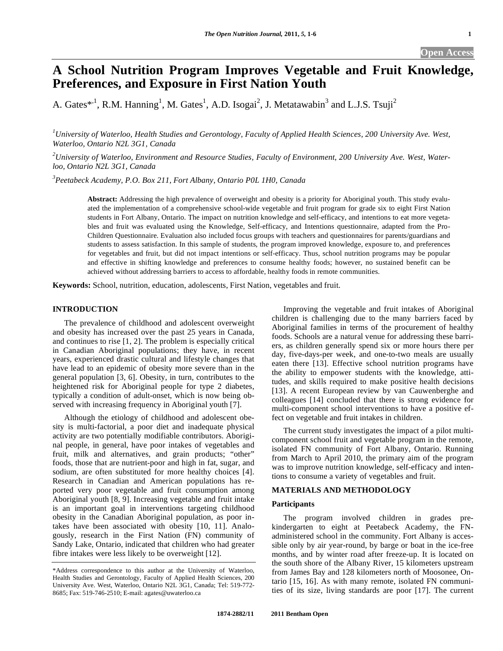# **A School Nutrition Program Improves Vegetable and Fruit Knowledge, Preferences, and Exposure in First Nation Youth**

A. Gates\*<sup>,1</sup>, R.M. Hanning<sup>1</sup>, M. Gates<sup>1</sup>, A.D. Isogai<sup>2</sup>, J. Metatawabin<sup>3</sup> and L.J.S. Tsuji<sup>2</sup>

*1 University of Waterloo, Health Studies and Gerontology, Faculty of Applied Health Sciences, 200 University Ave. West, Waterloo, Ontario N2L 3G1, Canada* 

*2 University of Waterloo, Environment and Resource Studies, Faculty of Environment, 200 University Ave. West, Waterloo, Ontario N2L 3G1, Canada* 

*3 Peetabeck Academy, P.O. Box 211, Fort Albany, Ontario P0L 1H0, Canada* 

**Abstract:** Addressing the high prevalence of overweight and obesity is a priority for Aboriginal youth. This study evaluated the implementation of a comprehensive school-wide vegetable and fruit program for grade six to eight First Nation students in Fort Albany, Ontario. The impact on nutrition knowledge and self-efficacy, and intentions to eat more vegetables and fruit was evaluated using the Knowledge, Self-efficacy, and Intentions questionnaire, adapted from the Pro-Children Questionnaire. Evaluation also included focus groups with teachers and questionnaires for parents/guardians and students to assess satisfaction. In this sample of students, the program improved knowledge, exposure to, and preferences for vegetables and fruit, but did not impact intentions or self-efficacy. Thus, school nutrition programs may be popular and effective in shifting knowledge and preferences to consume healthy foods; however, no sustained benefit can be achieved without addressing barriers to access to affordable, healthy foods in remote communities.

**Keywords:** School, nutrition, education, adolescents, First Nation, vegetables and fruit.

# **INTRODUCTION**

 The prevalence of childhood and adolescent overweight and obesity has increased over the past 25 years in Canada, and continues to rise [1, 2]. The problem is especially critical in Canadian Aboriginal populations; they have, in recent years, experienced drastic cultural and lifestyle changes that have lead to an epidemic of obesity more severe than in the general population [3, 6]. Obesity, in turn, contributes to the heightened risk for Aboriginal people for type 2 diabetes, typically a condition of adult-onset, which is now being observed with increasing frequency in Aboriginal youth [7].

 Although the etiology of childhood and adolescent obesity is multi-factorial, a poor diet and inadequate physical activity are two potentially modifiable contributors. Aboriginal people, in general, have poor intakes of vegetables and fruit, milk and alternatives, and grain products; "other" foods, those that are nutrient-poor and high in fat, sugar, and sodium, are often substituted for more healthy choices [4]. Research in Canadian and American populations has reported very poor vegetable and fruit consumption among Aboriginal youth [8, 9]. Increasing vegetable and fruit intake is an important goal in interventions targeting childhood obesity in the Canadian Aboriginal population, as poor intakes have been associated with obesity [10, 11]. Analogously, research in the First Nation (FN) community of Sandy Lake, Ontario, indicated that children who had greater fibre intakes were less likely to be overweight [12].

 Improving the vegetable and fruit intakes of Aboriginal children is challenging due to the many barriers faced by Aboriginal families in terms of the procurement of healthy foods. Schools are a natural venue for addressing these barriers, as children generally spend six or more hours there per day, five-days-per week, and one-to-two meals are usually eaten there [13]. Effective school nutrition programs have the ability to empower students with the knowledge, attitudes, and skills required to make positive health decisions [13]. A recent European review by van Cauwenberghe and colleagues [14] concluded that there is strong evidence for multi-component school interventions to have a positive effect on vegetable and fruit intakes in children.

 The current study investigates the impact of a pilot multicomponent school fruit and vegetable program in the remote, isolated FN community of Fort Albany, Ontario. Running from March to April 2010, the primary aim of the program was to improve nutrition knowledge, self-efficacy and intentions to consume a variety of vegetables and fruit.

# **MATERIALS AND METHODOLOGY**

## **Participants**

 The program involved children in grades prekindergarten to eight at Peetabeck Academy, the FNadministered school in the community. Fort Albany is accessible only by air year-round, by barge or boat in the ice-free months, and by winter road after freeze-up. It is located on the south shore of the Albany River, 15 kilometers upstream from James Bay and 128 kilometers north of Moosonee, Ontario [15, 16]. As with many remote, isolated FN communities of its size, living standards are poor [17]. The current

<sup>\*</sup>Address correspondence to this author at the University of Waterloo, Health Studies and Gerontology, Faculty of Applied Health Sciences, 200 University Ave. West, Waterloo, Ontario N2L 3G1, Canada; Tel: 519-772- 8685; Fax: 519-746-2510; E-mail: agates@uwaterloo.ca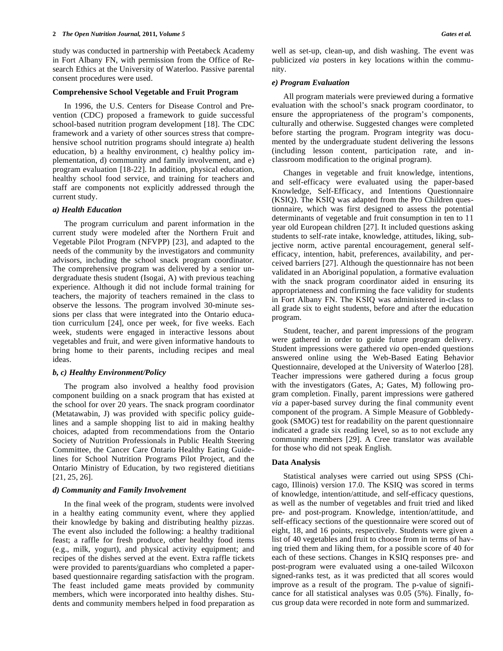study was conducted in partnership with Peetabeck Academy in Fort Albany FN, with permission from the Office of Research Ethics at the University of Waterloo. Passive parental consent procedures were used.

#### **Comprehensive School Vegetable and Fruit Program**

 In 1996, the U.S. Centers for Disease Control and Prevention (CDC) proposed a framework to guide successful school-based nutrition program development [18]. The CDC framework and a variety of other sources stress that comprehensive school nutrition programs should integrate a) health education, b) a healthy environment, c) healthy policy implementation, d) community and family involvement, and e) program evaluation [18-22]. In addition, physical education, healthy school food service, and training for teachers and staff are components not explicitly addressed through the current study.

#### *a) Health Education*

 The program curriculum and parent information in the current study were modeled after the Northern Fruit and Vegetable Pilot Program (NFVPP) [23], and adapted to the needs of the community by the investigators and community advisors, including the school snack program coordinator. The comprehensive program was delivered by a senior undergraduate thesis student (Isogai, A) with previous teaching experience. Although it did not include formal training for teachers, the majority of teachers remained in the class to observe the lessons. The program involved 30-minute sessions per class that were integrated into the Ontario education curriculum [24], once per week, for five weeks. Each week, students were engaged in interactive lessons about vegetables and fruit, and were given informative handouts to bring home to their parents, including recipes and meal ideas.

#### *b, c) Healthy Environment/Policy*

 The program also involved a healthy food provision component building on a snack program that has existed at the school for over 20 years. The snack program coordinator (Metatawabin, J) was provided with specific policy guidelines and a sample shopping list to aid in making healthy choices, adapted from recommendations from the Ontario Society of Nutrition Professionals in Public Health Steering Committee, the Cancer Care Ontario Healthy Eating Guidelines for School Nutrition Programs Pilot Project, and the Ontario Ministry of Education, by two registered dietitians [21, 25, 26].

#### *d) Community and Family Involvement*

 In the final week of the program, students were involved in a healthy eating community event, where they applied their knowledge by baking and distributing healthy pizzas. The event also included the following: a healthy traditional feast; a raffle for fresh produce, other healthy food items (e.g., milk, yogurt), and physical activity equipment; and recipes of the dishes served at the event. Extra raffle tickets were provided to parents/guardians who completed a paperbased questionnaire regarding satisfaction with the program. The feast included game meats provided by community members, which were incorporated into healthy dishes. Students and community members helped in food preparation as well as set-up, clean-up, and dish washing. The event was publicized *via* posters in key locations within the community.

### *e) Program Evaluation*

 All program materials were previewed during a formative evaluation with the school's snack program coordinator, to ensure the appropriateness of the program's components, culturally and otherwise. Suggested changes were completed before starting the program. Program integrity was documented by the undergraduate student delivering the lessons (including lesson content, participation rate, and inclassroom modification to the original program).

 Changes in vegetable and fruit knowledge, intentions, and self-efficacy were evaluated using the paper-based Knowledge, Self-Efficacy, and Intentions Questionnaire (KSIQ). The KSIQ was adapted from the Pro Children questionnaire, which was first designed to assess the potential determinants of vegetable and fruit consumption in ten to 11 year old European children [27]. It included questions asking students to self-rate intake, knowledge, attitudes, liking, subjective norm, active parental encouragement, general selfefficacy, intention, habit, preferences, availability, and perceived barriers [27]. Although the questionnaire has not been validated in an Aboriginal population, a formative evaluation with the snack program coordinator aided in ensuring its appropriateness and confirming the face validity for students in Fort Albany FN. The KSIQ was administered in-class to all grade six to eight students, before and after the education program.

 Student, teacher, and parent impressions of the program were gathered in order to guide future program delivery. Student impressions were gathered *via* open-ended questions answered online using the Web-Based Eating Behavior Questionnaire, developed at the University of Waterloo [28]. Teacher impressions were gathered during a focus group with the investigators (Gates, A; Gates, M) following program completion. Finally, parent impressions were gathered *via* a paper-based survey during the final community event component of the program. A Simple Measure of Gobbledygook (SMOG) test for readability on the parent questionnaire indicated a grade six reading level, so as to not exclude any community members [29]. A Cree translator was available for those who did not speak English.

#### **Data Analysis**

 Statistical analyses were carried out using SPSS (Chicago, Illinois) version 17.0. The KSIQ was scored in terms of knowledge, intention/attitude, and self-efficacy questions, as well as the number of vegetables and fruit tried and liked pre- and post-program. Knowledge, intention/attitude, and self-efficacy sections of the questionnaire were scored out of eight, 18, and 16 points, respectively. Students were given a list of 40 vegetables and fruit to choose from in terms of having tried them and liking them, for a possible score of 40 for each of these sections. Changes in KSIQ responses pre- and post-program were evaluated using a one-tailed Wilcoxon signed-ranks test, as it was predicted that all scores would improve as a result of the program. The p-value of significance for all statistical analyses was 0.05 (5%). Finally, focus group data were recorded in note form and summarized.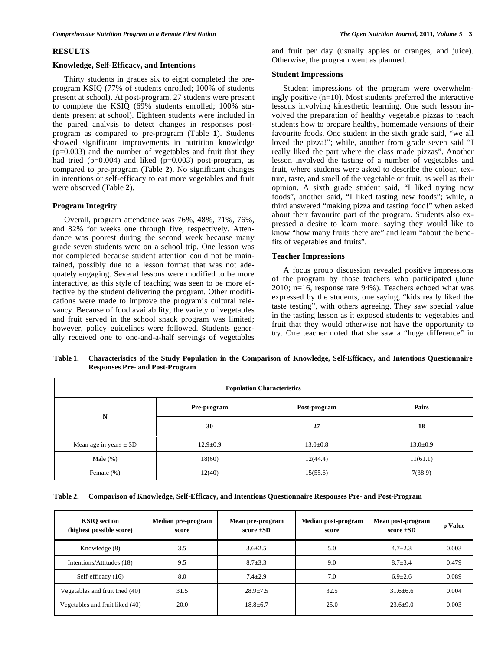#### **RESULTS**

## **Knowledge, Self-Efficacy, and Intentions**

Thirty students in grades six to eight completed the preprogram KSIQ (77% of students enrolled; 100% of students present at school). At post-program, 27 students were present to complete the KSIQ (69% students enrolled; 100% students present at school). Eighteen students were included in the paired analysis to detect changes in responses postprogram as compared to pre-program (Table **1**). Students showed significant improvements in nutrition knowledge  $(p=0.003)$  and the number of vegetables and fruit that they had tried  $(p=0.004)$  and liked  $(p=0.003)$  post-program, as compared to pre-program (Table **2**). No significant changes in intentions or self-efficacy to eat more vegetables and fruit were observed (Table **2**).

# **Program Integrity**

Overall, program attendance was 76%, 48%, 71%, 76%, and 82% for weeks one through five, respectively. Attendance was poorest during the second week because many grade seven students were on a school trip. One lesson was not completed because student attention could not be maintained, possibly due to a lesson format that was not adequately engaging. Several lessons were modified to be more interactive, as this style of teaching was seen to be more effective by the student delivering the program. Other modifications were made to improve the program's cultural relevancy. Because of food availability, the variety of vegetables and fruit served in the school snack program was limited; however, policy guidelines were followed. Students generally received one to one-and-a-half servings of vegetables

and fruit per day (usually apples or oranges, and juice). Otherwise, the program went as planned.

## **Student Impressions**

 Student impressions of the program were overwhelmingly positive (n=10). Most students preferred the interactive lessons involving kinesthetic learning. One such lesson involved the preparation of healthy vegetable pizzas to teach students how to prepare healthy, homemade versions of their favourite foods. One student in the sixth grade said, "we all loved the pizza!"; while, another from grade seven said "I really liked the part where the class made pizzas". Another lesson involved the tasting of a number of vegetables and fruit, where students were asked to describe the colour, texture, taste, and smell of the vegetable or fruit, as well as their opinion. A sixth grade student said, "I liked trying new foods", another said, "I liked tasting new foods"; while, a third answered "making pizza and tasting food!" when asked about their favourite part of the program. Students also expressed a desire to learn more, saying they would like to know "how many fruits there are" and learn "about the benefits of vegetables and fruits".

# **Teacher Impressions**

 A focus group discussion revealed positive impressions of the program by those teachers who participated (June 2010; n=16, response rate 94%). Teachers echoed what was expressed by the students, one saying, "kids really liked the taste testing", with others agreeing. They saw special value in the tasting lesson as it exposed students to vegetables and fruit that they would otherwise not have the opportunity to try. One teacher noted that she saw a "huge difference" in

**Table 1. Characteristics of the Study Population in the Comparison of Knowledge, Self-Efficacy, and Intentions Questionnaire Responses Pre- and Post-Program** 

| <b>Population Characteristics</b> |                |                |                |  |  |  |  |
|-----------------------------------|----------------|----------------|----------------|--|--|--|--|
| N                                 | Pre-program    | Post-program   | Pairs          |  |  |  |  |
|                                   | 30             | 27             | 18             |  |  |  |  |
| Mean age in years $\pm$ SD        | $12.9 \pm 0.9$ | $13.0 \pm 0.8$ | $13.0 \pm 0.9$ |  |  |  |  |
| Male $(\%)$<br>18(60)             |                | 12(44.4)       | 11(61.1)       |  |  |  |  |
| Female $(\%)$                     | 12(40)         | 15(55.6)       | 7(38.9)        |  |  |  |  |

|  |  |  | Table 2. Comparison of Knowledge, Self-Efficacy, and Intentions Questionnaire Responses Pre- and Post-Program |  |
|--|--|--|---------------------------------------------------------------------------------------------------------------|--|
|--|--|--|---------------------------------------------------------------------------------------------------------------|--|

| <b>KSIO</b> section<br>(highest possible score) | Median pre-program<br>score | Mean pre-program<br>score $\pm SD$ | Median post-program<br>score | Mean post-program<br>score $\pm SD$ | p Value |
|-------------------------------------------------|-----------------------------|------------------------------------|------------------------------|-------------------------------------|---------|
| Knowledge (8)                                   | 3.5                         | $3.6 \pm 2.5$                      | 5.0                          | $4.7 \pm 2.3$                       | 0.003   |
| Intentions/Attitudes (18)                       | 9.5                         | $8.7 \pm 3.3$                      | 9.0                          | $8.7 + 3.4$                         | 0.479   |
| Self-efficacy (16)                              | 8.0                         | $7.4 \pm 2.9$                      | 7.0                          | $6.9{\pm}2.6$                       | 0.089   |
| Vegetables and fruit tried (40)                 | 31.5                        | $28.9 \pm 7.5$                     | 32.5                         | $31.6 \pm 6.6$                      | 0.004   |
| Vegetables and fruit liked (40)                 | 20.0                        | $18.8 \pm 6.7$                     | 25.0                         | $23.6 \pm 9.0$                      | 0.003   |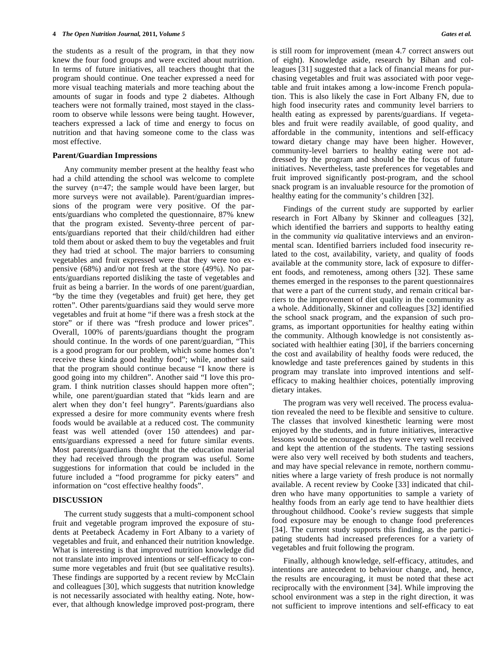the students as a result of the program, in that they now knew the four food groups and were excited about nutrition. In terms of future initiatives, all teachers thought that the program should continue. One teacher expressed a need for more visual teaching materials and more teaching about the amounts of sugar in foods and type 2 diabetes. Although teachers were not formally trained, most stayed in the classroom to observe while lessons were being taught. However, teachers expressed a lack of time and energy to focus on nutrition and that having someone come to the class was most effective.

#### **Parent/Guardian Impressions**

 Any community member present at the healthy feast who had a child attending the school was welcome to complete the survey (n=47; the sample would have been larger, but more surveys were not available). Parent/guardian impressions of the program were very positive. Of the parents/guardians who completed the questionnaire, 87% knew that the program existed. Seventy-three percent of parents/guardians reported that their child/children had either told them about or asked them to buy the vegetables and fruit they had tried at school. The major barriers to consuming vegetables and fruit expressed were that they were too expensive (68%) and/or not fresh at the store (49%). No parents/guardians reported disliking the taste of vegetables and fruit as being a barrier. In the words of one parent/guardian, "by the time they (vegetables and fruit) get here, they get rotten". Other parents/guardians said they would serve more vegetables and fruit at home "if there was a fresh stock at the store" or if there was "fresh produce and lower prices". Overall, 100% of parents/guardians thought the program should continue. In the words of one parent/guardian, "This is a good program for our problem, which some homes don't receive these kinda good healthy food"; while, another said that the program should continue because "I know there is good going into my children". Another said "I love this program. I think nutrition classes should happen more often"; while, one parent/guardian stated that "kids learn and are alert when they don't feel hungry". Parents/guardians also expressed a desire for more community events where fresh foods would be available at a reduced cost. The community feast was well attended (over 150 attendees) and parents/guardians expressed a need for future similar events. Most parents/guardians thought that the education material they had received through the program was useful. Some suggestions for information that could be included in the future included a "food programme for picky eaters" and information on "cost effective healthy foods".

# **DISCUSSION**

 The current study suggests that a multi-component school fruit and vegetable program improved the exposure of students at Peetabeck Academy in Fort Albany to a variety of vegetables and fruit, and enhanced their nutrition knowledge. What is interesting is that improved nutrition knowledge did not translate into improved intentions or self-efficacy to consume more vegetables and fruit (but see qualitative results). These findings are supported by a recent review by McClain and colleagues [30], which suggests that nutrition knowledge is not necessarily associated with healthy eating. Note, however, that although knowledge improved post-program, there

is still room for improvement (mean 4.7 correct answers out of eight). Knowledge aside, research by Bihan and colleagues [31] suggested that a lack of financial means for purchasing vegetables and fruit was associated with poor vegetable and fruit intakes among a low-income French population. This is also likely the case in Fort Albany FN, due to high food insecurity rates and community level barriers to health eating as expressed by parents/guardians. If vegetables and fruit were readily available, of good quality, and affordable in the community, intentions and self-efficacy toward dietary change may have been higher. However, community-level barriers to healthy eating were not addressed by the program and should be the focus of future initiatives. Nevertheless, taste preferences for vegetables and fruit improved significantly post-program, and the school snack program is an invaluable resource for the promotion of healthy eating for the community's children [32].

 Findings of the current study are supported by earlier research in Fort Albany by Skinner and colleagues [32], which identified the barriers and supports to healthy eating in the community *via* qualitative interviews and an environmental scan. Identified barriers included food insecurity related to the cost, availability, variety, and quality of foods available at the community store, lack of exposure to different foods, and remoteness, among others [32]. These same themes emerged in the responses to the parent questionnaires that were a part of the current study, and remain critical barriers to the improvement of diet quality in the community as a whole. Additionally, Skinner and colleagues [32] identified the school snack program, and the expansion of such programs, as important opportunities for healthy eating within the community. Although knowledge is not consistently associated with healthier eating [30], if the barriers concerning the cost and availability of healthy foods were reduced, the knowledge and taste preferences gained by students in this program may translate into improved intentions and selfefficacy to making healthier choices, potentially improving dietary intakes.

 The program was very well received. The process evaluation revealed the need to be flexible and sensitive to culture. The classes that involved kinesthetic learning were most enjoyed by the students, and in future initiatives, interactive lessons would be encouraged as they were very well received and kept the attention of the students. The tasting sessions were also very well received by both students and teachers, and may have special relevance in remote, northern communities where a large variety of fresh produce is not normally available. A recent review by Cooke [33] indicated that children who have many opportunities to sample a variety of healthy foods from an early age tend to have healthier diets throughout childhood. Cooke's review suggests that simple food exposure may be enough to change food preferences [34]. The current study supports this finding, as the participating students had increased preferences for a variety of vegetables and fruit following the program.

 Finally, although knowledge, self-efficacy, attitudes, and intentions are antecedent to behaviour change, and, hence, the results are encouraging, it must be noted that these act reciprocally with the environment [34]. While improving the school environment was a step in the right direction, it was not sufficient to improve intentions and self-efficacy to eat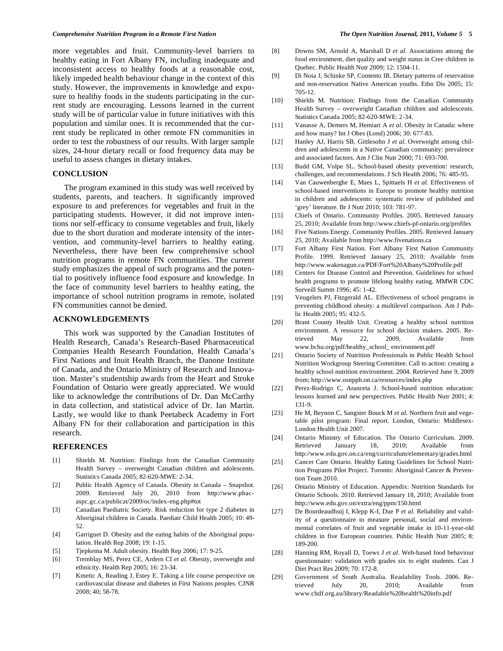more vegetables and fruit. Community-level barriers to healthy eating in Fort Albany FN, including inadequate and inconsistent access to healthy foods at a reasonable cost, likely impeded health behaviour change in the context of this study. However, the improvements in knowledge and exposure to healthy foods in the students participating in the current study are encouraging. Lessons learned in the current study will be of particular value in future initiatives with this population and similar ones. It is recommended that the current study be replicated in other remote FN communities in order to test the robustness of our results. With larger sample sizes, 24-hour dietary recall or food frequency data may be useful to assess changes in dietary intakes.

### **CONCLUSION**

 The program examined in this study was well received by students, parents, and teachers. It significantly improved exposure to and preferences for vegetables and fruit in the participating students. However, it did not improve intentions nor self-efficacy to consume vegetables and fruit, likely due to the short duration and moderate intensity of the intervention, and community-level barriers to healthy eating. Nevertheless, there have been few comprehensive school nutrition programs in remote FN communities. The current study emphasizes the appeal of such programs and the potential to positively influence food exposure and knowledge. In the face of community level barriers to healthy eating, the importance of school nutrition programs in remote, isolated FN communities cannot be denied.

## **ACKNOWLEDGEMENTS**

 This work was supported by the Canadian Institutes of Health Research, Canada's Research-Based Pharmaceutical Companies Health Research Foundation, Health Canada's First Nations and Inuit Health Branch, the Danone Institute of Canada, and the Ontario Ministry of Research and Innovation. Master's studentship awards from the Heart and Stroke Foundation of Ontario were greatly appreciated. We would like to acknowledge the contributions of Dr. Dan McCarthy in data collection, and statistical advice of Dr. Ian Martin. Lastly, we would like to thank Peetabeck Academy in Fort Albany FN for their collaboration and participation in this research.

#### **REFERENCES**

- [1] Shields M. Nutrition: Findings from the Canadian Community Health Survey – overweight Canadian children and adolescents. Statistics Canada 2005; 82-620-MWE: 2-34.
- [2] Public Health Agency of Canada. Obesity in Canada Snapshot. 2009. Retrieved July 20, 2010 from http://www.phacaspc.gc.ca/publicat/2009/oc/index-eng.php#tot
- [3] Canadian Paediatric Society. Risk reduction for type 2 diabetes in Aboriginal children in Canada. Paediatr Child Health 2005; 10: 49- 52.
- [4] Garriguet D. Obesity and the eating habits of the Aboriginal population. Health Rep 2008; 19: 1-15.
- [5] Tjepkema M. Adult obesity. Health Rep 2006; 17: 9-25.
- [6] Tremblay MS, Perez CE, Ardern CI *et al*. Obesity, overweight and ethnicity. Health Rep 2005; 16: 23-34.
- [7] Kmetic A, Reading J, Estey E. Taking a life course perspective on cardiovascular disease and diabetes in First Nations peoples. CJNR 2008; 40; 58-78.
- [8] Downs SM, Arnold A, Marshall D *et al*. Associations among the food environment, diet quality and weight status in Cree children in Quebec. Public Health Nutr 2009; 12: 1504-11.
- [9] Di Noia J, Schinke SP, Contento IR. Dietary patterns of reservation and non-reservation Native American youths. Ethn Dis 2005; 15: 705-12.
- [10] Shields M. Nutrition: Findings from the Canadian Community Health Survey – overweight Canadian children and adolescents. Statistics Canada 2005; 82-620-MWE: 2-34.
- [11] Vanasse A, Demers M, Hemiari A *et al*. Obesity in Canada: where and how many? Int J Obes (Lond) 2006; 30: 677-83.
- [12] Hanley AJ, Harris SB, Gittlesohn J *et al*. Overweight among children and adolescents in a Native Canadian community: prevalence and associated factors. Am J Clin Nutr 2000; 71: 693-700.
- [13] Budd GM, Volpe SL. School-based obesity prevention: research, challenges, and recommendations. J Sch Health 2006; 76: 485-95.
- [14] Van Cauwenberghe E, Maes L, Spittaels H *et al*. Effectiveness of school-based interventions in Europe to promote healthy nutrition in children and adolescents: systematic review of published and 'grey' literature. Br J Nutr 2010; 103: 781-97.
- [15] Chiefs of Ontario. Community Profiles. 2005. Retrieved January 25, 2010; Available from http://www.chiefs-pf-ontario.org/profiles
- [16] Five Nations Energy. Community Profiles. 2005. Retrieved January 25, 2010; Available from http://www.fivenations.ca
- [17] Fort Albany First Nation. Fort Albany First Nation Community Profile. 1999. Retrieved January 25, 2010; Available from http://www.wakenagun.ca/PDF/Fort%20Albany%20Profile.pdf
- [18] Centers for Disease Control and Prevention. Guidelines for school health programs to promote lifelong healthy eating. MMWR CDC Surveill Summ 1996; 45: 1-42.
- [19] Veugelers PJ, Fitzgerald AL. Effectiveness of school programs in preventing childhood obesity: a multilevel comparison. Am J Public Health 2005; 95: 432-5.
- [20] Brant County Health Unit. Creating a healthy school nutrition environment. A resource for school decision makers. 2005. Retrieved May 22, 2009, Available from www.bchu.org/pdf/healthy\_school\_ environment.pdf
- [21] Ontario Society of Nutrition Professionals in Public Health School Nutrition Workgroup Steering Committee. Call to action: creating a healthy school nutrition environment. 2004. Retrieved June 9, 2009 from; http://www.osnpph.on.ca/resources/index.php
- [22] Perez-Rodrigo C, Aranceta J. School-based nutrition education: lessons learned and new perspectives. Public Health Nutr 2001; 4: 131-9.
- [23] He M, Beynon C, Sangster Bouck M *et al*. Northern fruit and vegetable pilot program: Final report. London, Ontario: Middlesex-London Health Unit 2007.
- [24] Ontario Ministry of Education. The Ontario Curriculum. 2009. Retrieved January 18, 2010; Available from http://www.edu.gov.on.ca/eng/curriculum/elementary/grades.html
- [25] Cancer Care Ontario. Healthy Eating Guidelines for School Nutrition Programs Pilot Project. Toronto: Aboriginal Cancer & Prevention Team 2010.
- [26] Ontario Ministry of Education. Appendix: Nutrition Standards for Ontario Schools. 2010. Retrieved January 18, 2010; Available from http://www.edu.gov.on/extra/eng/ppm/150.html
- [27] De Bourdeaudhuij I, Klepp K-I, Due P *et al*. Reliability and validity of a questionnaire to measure personal, social and environmental correlates of fruit and vegetable intake in 10-11-year-old children in five European countries. Public Health Nutr 2005; 8: 189-200.
- [28] Hanning RM, Royall D, Toews J *et al*. Web-based food behaviour questionnaire: validation with grades six to eight students. Can J Diet Pract Res 2009; 70: 172-8.
- [29] Government of South Australia. Readability Tools. 2006. Retrieved July 20, 2010; Available from www.chdf.org.au/library/Readable%20health%20info.pdf